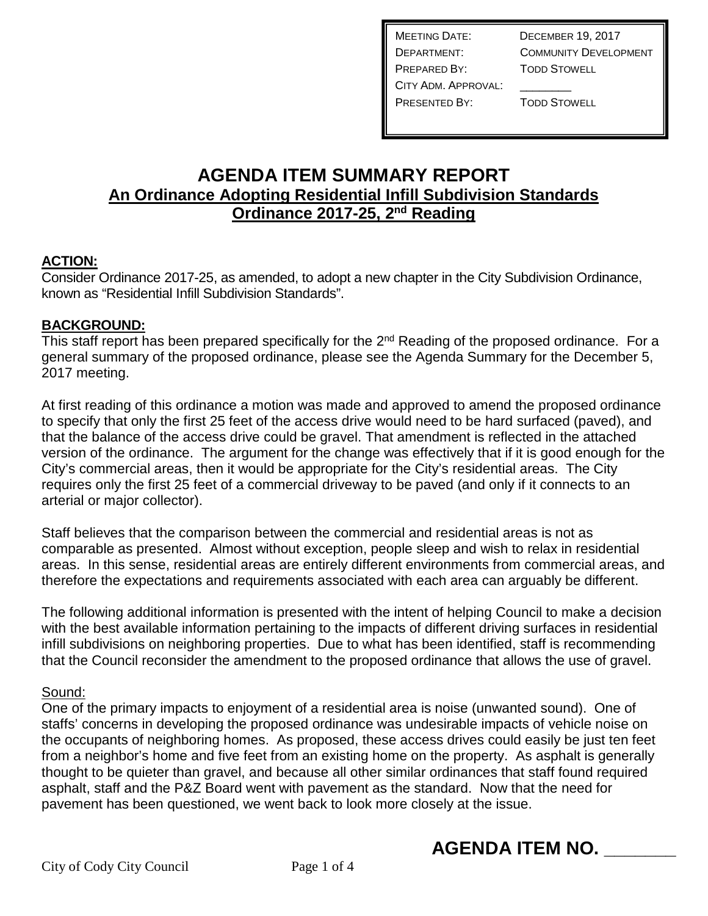MEETING DATE: DECEMBER 19, 2017 DEPARTMENT: COMMUNITY DEVELOPMENT PREPARED BY: TODD STOWELL CITY ADM. APPROVAL: PRESENTED BY: TODD STOWELL

## **AGENDA ITEM SUMMARY REPORT An Ordinance Adopting Residential Infill Subdivision Standards Ordinance 2017-25, 2nd Reading**

#### **ACTION:**

Consider Ordinance 2017-25, as amended, to adopt a new chapter in the City Subdivision Ordinance, known as "Residential Infill Subdivision Standards".

#### **BACKGROUND:**

This staff report has been prepared specifically for the 2<sup>nd</sup> Reading of the proposed ordinance. For a general summary of the proposed ordinance, please see the Agenda Summary for the December 5, 2017 meeting.

At first reading of this ordinance a motion was made and approved to amend the proposed ordinance to specify that only the first 25 feet of the access drive would need to be hard surfaced (paved), and that the balance of the access drive could be gravel. That amendment is reflected in the attached version of the ordinance. The argument for the change was effectively that if it is good enough for the City's commercial areas, then it would be appropriate for the City's residential areas. The City requires only the first 25 feet of a commercial driveway to be paved (and only if it connects to an arterial or major collector).

Staff believes that the comparison between the commercial and residential areas is not as comparable as presented. Almost without exception, people sleep and wish to relax in residential areas. In this sense, residential areas are entirely different environments from commercial areas, and therefore the expectations and requirements associated with each area can arguably be different.

The following additional information is presented with the intent of helping Council to make a decision with the best available information pertaining to the impacts of different driving surfaces in residential infill subdivisions on neighboring properties. Due to what has been identified, staff is recommending that the Council reconsider the amendment to the proposed ordinance that allows the use of gravel.

#### Sound:

One of the primary impacts to enjoyment of a residential area is noise (unwanted sound). One of staffs' concerns in developing the proposed ordinance was undesirable impacts of vehicle noise on the occupants of neighboring homes. As proposed, these access drives could easily be just ten feet from a neighbor's home and five feet from an existing home on the property. As asphalt is generally thought to be quieter than gravel, and because all other similar ordinances that staff found required asphalt, staff and the P&Z Board went with pavement as the standard. Now that the need for pavement has been questioned, we went back to look more closely at the issue.

# **AGENDA ITEM NO. \_\_\_\_\_\_\_**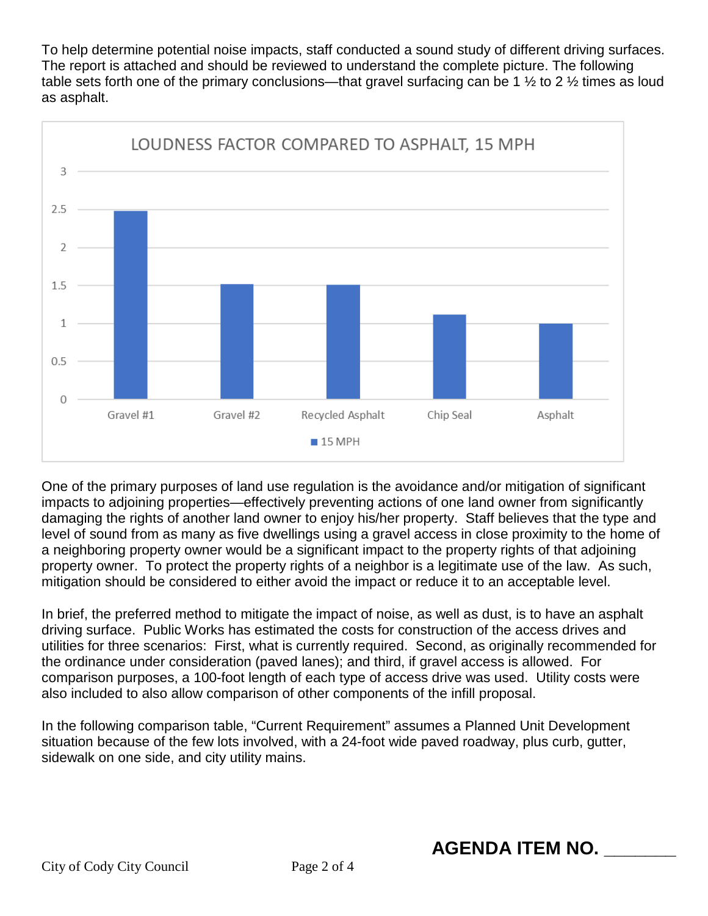To help determine potential noise impacts, staff conducted a sound study of different driving surfaces. The report is attached and should be reviewed to understand the complete picture. The following table sets forth one of the primary conclusions—that gravel surfacing can be 1  $\frac{1}{2}$  to 2  $\frac{1}{2}$  times as loud as asphalt.



One of the primary purposes of land use regulation is the avoidance and/or mitigation of significant impacts to adjoining properties—effectively preventing actions of one land owner from significantly damaging the rights of another land owner to enjoy his/her property. Staff believes that the type and level of sound from as many as five dwellings using a gravel access in close proximity to the home of a neighboring property owner would be a significant impact to the property rights of that adjoining property owner. To protect the property rights of a neighbor is a legitimate use of the law. As such, mitigation should be considered to either avoid the impact or reduce it to an acceptable level.

In brief, the preferred method to mitigate the impact of noise, as well as dust, is to have an asphalt driving surface. Public Works has estimated the costs for construction of the access drives and utilities for three scenarios: First, what is currently required. Second, as originally recommended for the ordinance under consideration (paved lanes); and third, if gravel access is allowed. For comparison purposes, a 100-foot length of each type of access drive was used. Utility costs were also included to also allow comparison of other components of the infill proposal.

In the following comparison table, "Current Requirement" assumes a Planned Unit Development situation because of the few lots involved, with a 24-foot wide paved roadway, plus curb, gutter, sidewalk on one side, and city utility mains.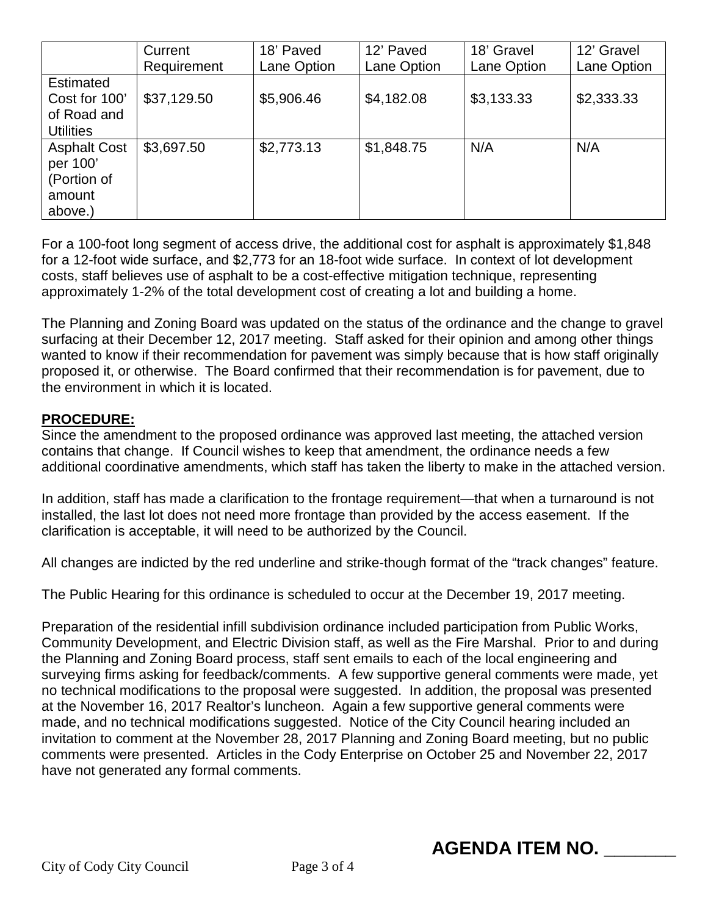|                     | Current     | 18' Paved   | 12' Paved   | 18' Gravel  | 12' Gravel  |
|---------------------|-------------|-------------|-------------|-------------|-------------|
|                     | Requirement | Lane Option | Lane Option | Lane Option | Lane Option |
| Estimated           |             |             |             |             |             |
| Cost for 100'       | \$37,129.50 | \$5,906.46  | \$4,182.08  | \$3,133.33  | \$2,333.33  |
| of Road and         |             |             |             |             |             |
| <b>Utilities</b>    |             |             |             |             |             |
| <b>Asphalt Cost</b> | \$3,697.50  | \$2,773.13  | \$1,848.75  | N/A         | N/A         |
| per 100'            |             |             |             |             |             |
| (Portion of         |             |             |             |             |             |
| amount              |             |             |             |             |             |
| above.)             |             |             |             |             |             |

For a 100-foot long segment of access drive, the additional cost for asphalt is approximately \$1,848 for a 12-foot wide surface, and \$2,773 for an 18-foot wide surface. In context of lot development costs, staff believes use of asphalt to be a cost-effective mitigation technique, representing approximately 1-2% of the total development cost of creating a lot and building a home.

The Planning and Zoning Board was updated on the status of the ordinance and the change to gravel surfacing at their December 12, 2017 meeting. Staff asked for their opinion and among other things wanted to know if their recommendation for pavement was simply because that is how staff originally proposed it, or otherwise. The Board confirmed that their recommendation is for pavement, due to the environment in which it is located.

#### **PROCEDURE:**

Since the amendment to the proposed ordinance was approved last meeting, the attached version contains that change. If Council wishes to keep that amendment, the ordinance needs a few additional coordinative amendments, which staff has taken the liberty to make in the attached version.

In addition, staff has made a clarification to the frontage requirement—that when a turnaround is not installed, the last lot does not need more frontage than provided by the access easement. If the clarification is acceptable, it will need to be authorized by the Council.

All changes are indicted by the red underline and strike-though format of the "track changes" feature.

The Public Hearing for this ordinance is scheduled to occur at the December 19, 2017 meeting.

Preparation of the residential infill subdivision ordinance included participation from Public Works, Community Development, and Electric Division staff, as well as the Fire Marshal. Prior to and during the Planning and Zoning Board process, staff sent emails to each of the local engineering and surveying firms asking for feedback/comments. A few supportive general comments were made, yet no technical modifications to the proposal were suggested. In addition, the proposal was presented at the November 16, 2017 Realtor's luncheon. Again a few supportive general comments were made, and no technical modifications suggested. Notice of the City Council hearing included an invitation to comment at the November 28, 2017 Planning and Zoning Board meeting, but no public comments were presented. Articles in the Cody Enterprise on October 25 and November 22, 2017 have not generated any formal comments.